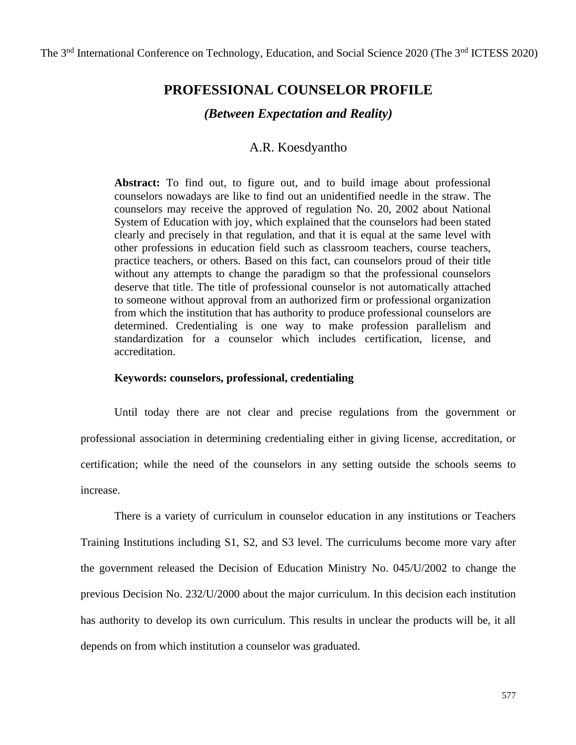# **PROFESSIONAL COUNSELOR PROFILE**

# *(Between Expectation and Reality)*

# A.R. Koesdyantho

**Abstract:** To find out, to figure out, and to build image about professional counselors nowadays are like to find out an unidentified needle in the straw. The counselors may receive the approved of regulation No. 20, 2002 about National System of Education with joy, which explained that the counselors had been stated clearly and precisely in that regulation, and that it is equal at the same level with other professions in education field such as classroom teachers, course teachers, practice teachers, or others. Based on this fact, can counselors proud of their title without any attempts to change the paradigm so that the professional counselors deserve that title. The title of professional counselor is not automatically attached to someone without approval from an authorized firm or professional organization from which the institution that has authority to produce professional counselors are determined. Credentialing is one way to make profession parallelism and standardization for a counselor which includes certification, license, and accreditation.

### **Keywords: counselors, professional, credentialing**

Until today there are not clear and precise regulations from the government or professional association in determining credentialing either in giving license, accreditation, or certification; while the need of the counselors in any setting outside the schools seems to increase.

There is a variety of curriculum in counselor education in any institutions or Teachers Training Institutions including S1, S2, and S3 level. The curriculums become more vary after the government released the Decision of Education Ministry No. 045/U/2002 to change the previous Decision No. 232/U/2000 about the major curriculum. In this decision each institution has authority to develop its own curriculum. This results in unclear the products will be, it all depends on from which institution a counselor was graduated.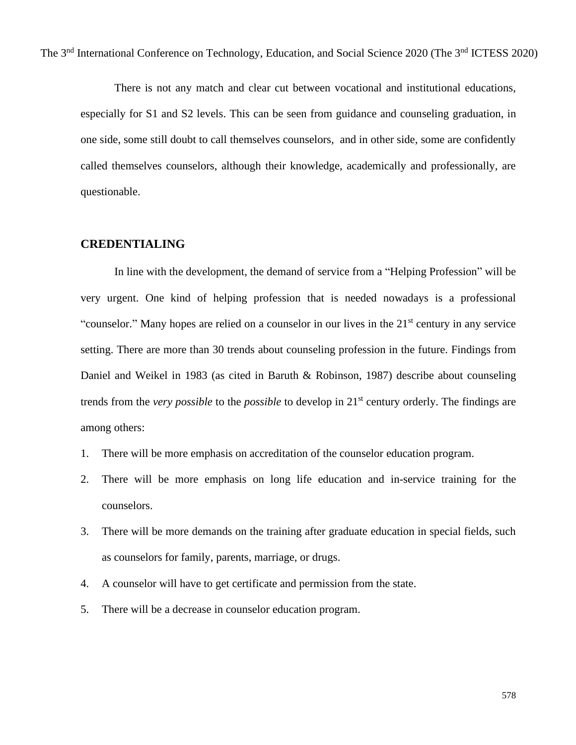There is not any match and clear cut between vocational and institutional educations, especially for S1 and S2 levels. This can be seen from guidance and counseling graduation, in one side, some still doubt to call themselves counselors, and in other side, some are confidently called themselves counselors, although their knowledge, academically and professionally, are questionable.

# **CREDENTIALING**

In line with the development, the demand of service from a "Helping Profession" will be very urgent. One kind of helping profession that is needed nowadays is a professional "counselor." Many hopes are relied on a counselor in our lives in the 21<sup>st</sup> century in any service setting. There are more than 30 trends about counseling profession in the future. Findings from Daniel and Weikel in 1983 (as cited in Baruth & Robinson, 1987) describe about counseling trends from the *very possible* to the *possible* to develop in 21st century orderly. The findings are among others:

- 1. There will be more emphasis on accreditation of the counselor education program.
- 2. There will be more emphasis on long life education and in-service training for the counselors.
- 3. There will be more demands on the training after graduate education in special fields, such as counselors for family, parents, marriage, or drugs.
- 4. A counselor will have to get certificate and permission from the state.
- 5. There will be a decrease in counselor education program.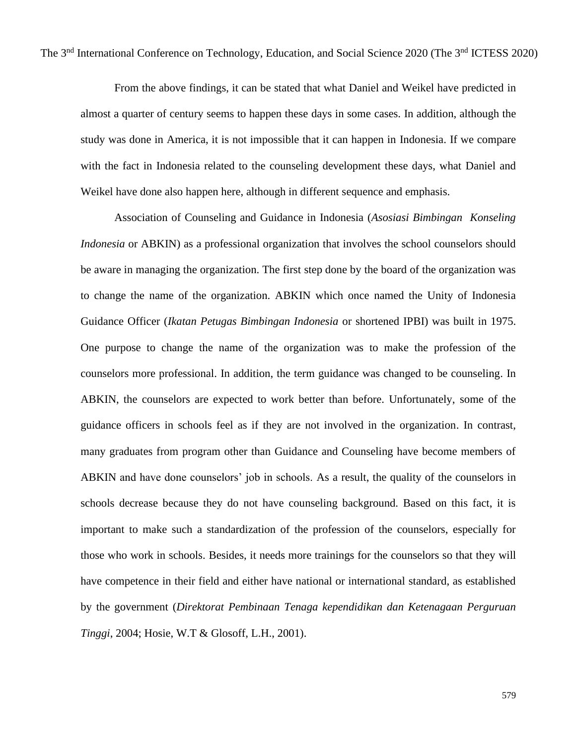From the above findings, it can be stated that what Daniel and Weikel have predicted in almost a quarter of century seems to happen these days in some cases. In addition, although the study was done in America, it is not impossible that it can happen in Indonesia. If we compare with the fact in Indonesia related to the counseling development these days, what Daniel and Weikel have done also happen here, although in different sequence and emphasis.

Association of Counseling and Guidance in Indonesia (*Asosiasi Bimbingan Konseling Indonesia* or ABKIN) as a professional organization that involves the school counselors should be aware in managing the organization. The first step done by the board of the organization was to change the name of the organization. ABKIN which once named the Unity of Indonesia Guidance Officer (*Ikatan Petugas Bimbingan Indonesia* or shortened IPBI) was built in 1975. One purpose to change the name of the organization was to make the profession of the counselors more professional. In addition, the term guidance was changed to be counseling. In ABKIN, the counselors are expected to work better than before. Unfortunately, some of the guidance officers in schools feel as if they are not involved in the organization. In contrast, many graduates from program other than Guidance and Counseling have become members of ABKIN and have done counselors' job in schools. As a result, the quality of the counselors in schools decrease because they do not have counseling background. Based on this fact, it is important to make such a standardization of the profession of the counselors, especially for those who work in schools. Besides, it needs more trainings for the counselors so that they will have competence in their field and either have national or international standard, as established by the government (*Direktorat Pembinaan Tenaga kependidikan dan Ketenagaan Perguruan Tinggi*, 2004; Hosie, W.T & Glosoff, L.H., 2001).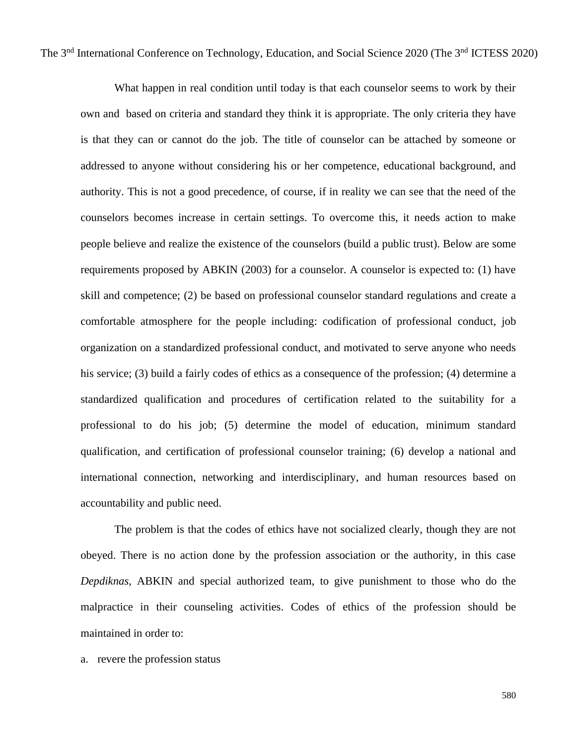What happen in real condition until today is that each counselor seems to work by their own and based on criteria and standard they think it is appropriate. The only criteria they have is that they can or cannot do the job. The title of counselor can be attached by someone or addressed to anyone without considering his or her competence, educational background, and authority. This is not a good precedence, of course, if in reality we can see that the need of the counselors becomes increase in certain settings. To overcome this, it needs action to make people believe and realize the existence of the counselors (build a public trust). Below are some requirements proposed by ABKIN (2003) for a counselor. A counselor is expected to: (1) have skill and competence; (2) be based on professional counselor standard regulations and create a comfortable atmosphere for the people including: codification of professional conduct, job organization on a standardized professional conduct, and motivated to serve anyone who needs his service; (3) build a fairly codes of ethics as a consequence of the profession; (4) determine a standardized qualification and procedures of certification related to the suitability for a professional to do his job; (5) determine the model of education, minimum standard qualification, and certification of professional counselor training; (6) develop a national and international connection, networking and interdisciplinary, and human resources based on accountability and public need.

The problem is that the codes of ethics have not socialized clearly, though they are not obeyed. There is no action done by the profession association or the authority, in this case *Depdiknas*, ABKIN and special authorized team, to give punishment to those who do the malpractice in their counseling activities. Codes of ethics of the profession should be maintained in order to:

a. revere the profession status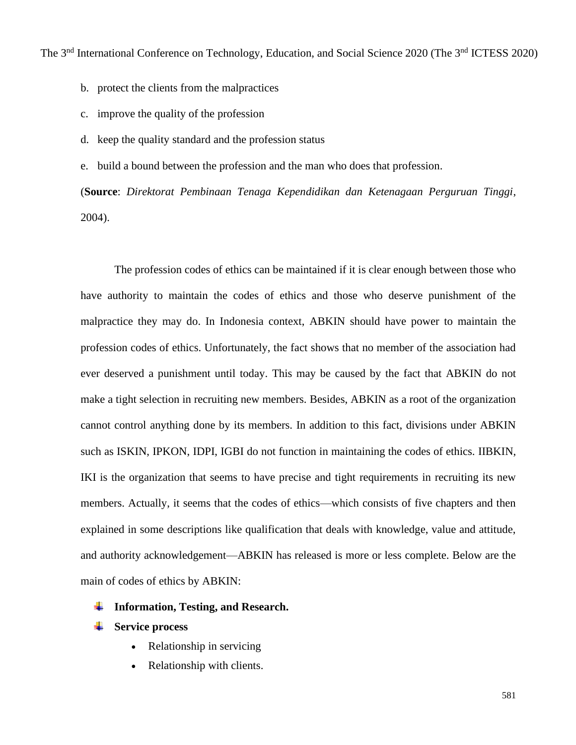b. protect the clients from the malpractices

- c. improve the quality of the profession
- d. keep the quality standard and the profession status
- e. build a bound between the profession and the man who does that profession.

(**Source**: *Direktorat Pembinaan Tenaga Kependidikan dan Ketenagaan Perguruan Tinggi*, 2004).

The profession codes of ethics can be maintained if it is clear enough between those who have authority to maintain the codes of ethics and those who deserve punishment of the malpractice they may do. In Indonesia context, ABKIN should have power to maintain the profession codes of ethics. Unfortunately, the fact shows that no member of the association had ever deserved a punishment until today. This may be caused by the fact that ABKIN do not make a tight selection in recruiting new members. Besides, ABKIN as a root of the organization cannot control anything done by its members. In addition to this fact, divisions under ABKIN such as ISKIN, IPKON, IDPI, IGBI do not function in maintaining the codes of ethics. IIBKIN, IKI is the organization that seems to have precise and tight requirements in recruiting its new members. Actually, it seems that the codes of ethics—which consists of five chapters and then explained in some descriptions like qualification that deals with knowledge, value and attitude, and authority acknowledgement—ABKIN has released is more or less complete. Below are the main of codes of ethics by ABKIN:

# **Information, Testing, and Research.**

- **EXECUTE:** Service process
	- Relationship in servicing
	- Relationship with clients.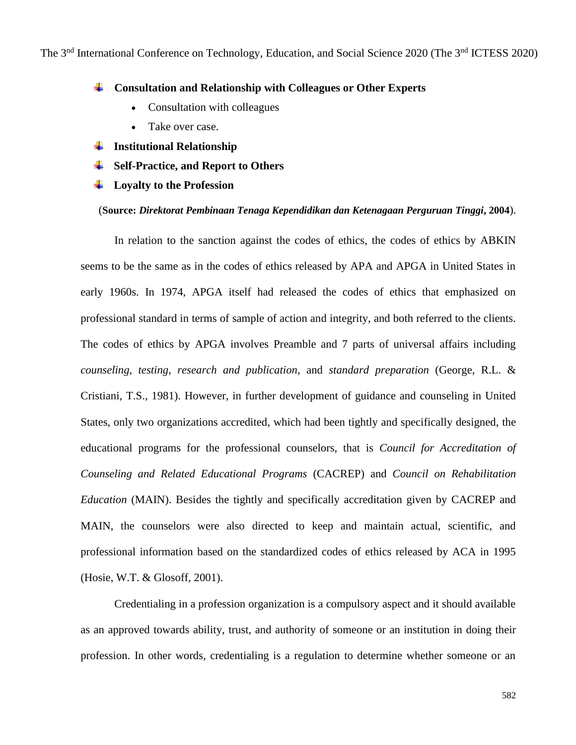#### ÷ **Consultation and Relationship with Colleagues or Other Experts**

- Consultation with colleagues
- Take over case.
- **Institutional Relationship** ÷
- **Self-Practice, and Report to Others**
- **Loyalty to the Profession**

### (**Source:** *Direktorat Pembinaan Tenaga Kependidikan dan Ketenagaan Perguruan Tinggi***, 2004**).

In relation to the sanction against the codes of ethics, the codes of ethics by ABKIN seems to be the same as in the codes of ethics released by APA and APGA in United States in early 1960s. In 1974, APGA itself had released the codes of ethics that emphasized on professional standard in terms of sample of action and integrity, and both referred to the clients. The codes of ethics by APGA involves Preamble and 7 parts of universal affairs including *counseling*, *testing*, *research and publication*, and *standard preparation* (George, R.L. & Cristiani, T.S., 1981). However, in further development of guidance and counseling in United States, only two organizations accredited, which had been tightly and specifically designed, the educational programs for the professional counselors, that is *Council for Accreditation of Counseling and Related Educational Programs* (CACREP) and *Council on Rehabilitation Education* (MAIN). Besides the tightly and specifically accreditation given by CACREP and MAIN, the counselors were also directed to keep and maintain actual, scientific, and professional information based on the standardized codes of ethics released by ACA in 1995 (Hosie, W.T. & Glosoff, 2001).

Credentialing in a profession organization is a compulsory aspect and it should available as an approved towards ability, trust, and authority of someone or an institution in doing their profession. In other words, credentialing is a regulation to determine whether someone or an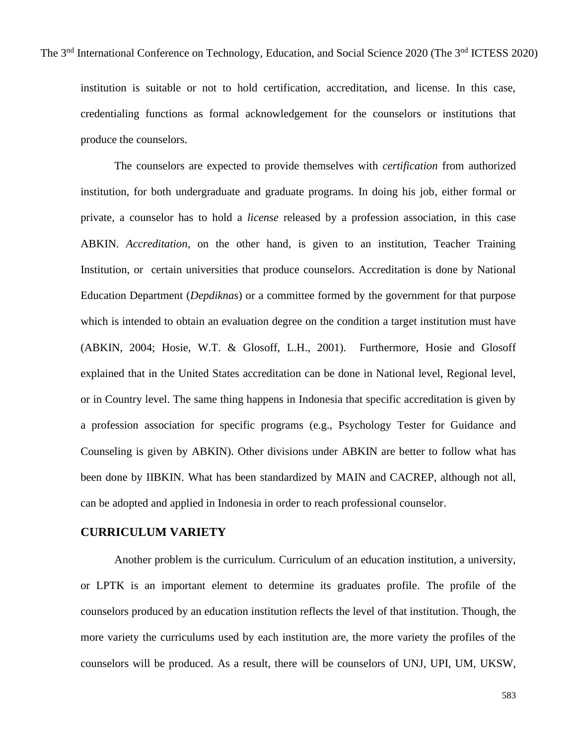institution is suitable or not to hold certification, accreditation, and license. In this case, credentialing functions as formal acknowledgement for the counselors or institutions that produce the counselors.

The counselors are expected to provide themselves with *certification* from authorized institution, for both undergraduate and graduate programs. In doing his job, either formal or private, a counselor has to hold a *license* released by a profession association, in this case ABKIN. *Accreditation*, on the other hand, is given to an institution, Teacher Training Institution, or certain universities that produce counselors. Accreditation is done by National Education Department (*Depdiknas*) or a committee formed by the government for that purpose which is intended to obtain an evaluation degree on the condition a target institution must have (ABKIN, 2004; Hosie, W.T. & Glosoff, L.H., 2001). Furthermore, Hosie and Glosoff explained that in the United States accreditation can be done in National level, Regional level, or in Country level. The same thing happens in Indonesia that specific accreditation is given by a profession association for specific programs (e.g., Psychology Tester for Guidance and Counseling is given by ABKIN). Other divisions under ABKIN are better to follow what has been done by IIBKIN. What has been standardized by MAIN and CACREP, although not all, can be adopted and applied in Indonesia in order to reach professional counselor.

# **CURRICULUM VARIETY**

Another problem is the curriculum. Curriculum of an education institution, a university, or LPTK is an important element to determine its graduates profile. The profile of the counselors produced by an education institution reflects the level of that institution. Though, the more variety the curriculums used by each institution are, the more variety the profiles of the counselors will be produced. As a result, there will be counselors of UNJ, UPI, UM, UKSW,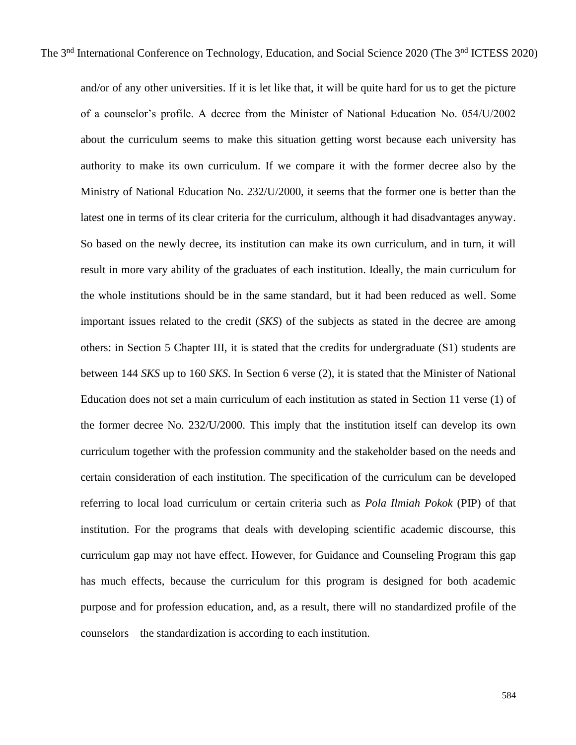and/or of any other universities. If it is let like that, it will be quite hard for us to get the picture of a counselor's profile. A decree from the Minister of National Education No. 054/U/2002 about the curriculum seems to make this situation getting worst because each university has authority to make its own curriculum. If we compare it with the former decree also by the Ministry of National Education No. 232/U/2000, it seems that the former one is better than the latest one in terms of its clear criteria for the curriculum, although it had disadvantages anyway. So based on the newly decree, its institution can make its own curriculum, and in turn, it will result in more vary ability of the graduates of each institution. Ideally, the main curriculum for the whole institutions should be in the same standard, but it had been reduced as well. Some important issues related to the credit (*SKS*) of the subjects as stated in the decree are among others: in Section 5 Chapter III, it is stated that the credits for undergraduate (S1) students are between 144 *SKS* up to 160 *SKS*. In Section 6 verse (2), it is stated that the Minister of National Education does not set a main curriculum of each institution as stated in Section 11 verse (1) of the former decree No. 232/U/2000. This imply that the institution itself can develop its own curriculum together with the profession community and the stakeholder based on the needs and certain consideration of each institution. The specification of the curriculum can be developed referring to local load curriculum or certain criteria such as *Pola Ilmiah Pokok* (PIP) of that institution. For the programs that deals with developing scientific academic discourse, this curriculum gap may not have effect. However, for Guidance and Counseling Program this gap has much effects, because the curriculum for this program is designed for both academic purpose and for profession education, and, as a result, there will no standardized profile of the counselors—the standardization is according to each institution.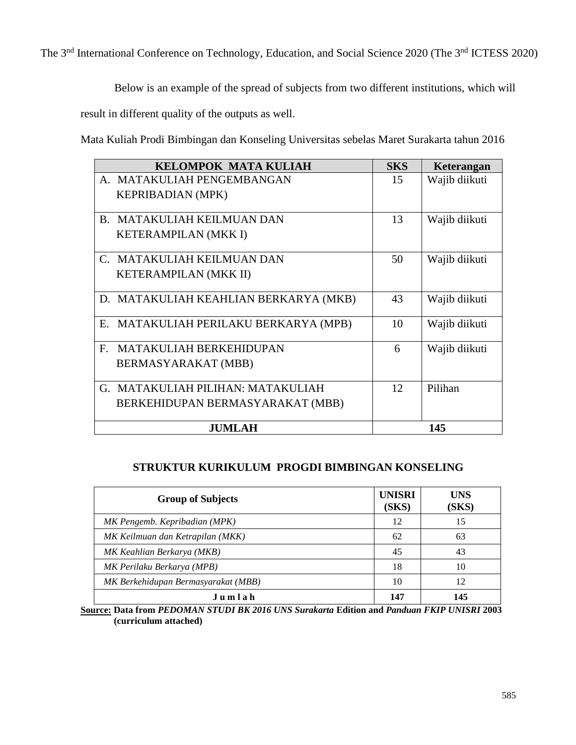Below is an example of the spread of subjects from two different institutions, which will

result in different quality of the outputs as well.

Mata Kuliah Prodi Bimbingan dan Konseling Universitas sebelas Maret Surakarta tahun 2016

|               | <b>KELOMPOK MATA KULIAH</b>           | <b>SKS</b> | Keterangan    |
|---------------|---------------------------------------|------------|---------------|
|               | A. MATAKULIAH PENGEMBANGAN            | 15         | Wajib diikuti |
|               | <b>KEPRIBADIAN (MPK)</b>              |            |               |
|               |                                       |            |               |
| $B_{\cdot}$   | MATAKULIAH KEILMUAN DAN               | 13         | Wajib diikuti |
|               | <b>KETERAMPILAN (MKK I)</b>           |            |               |
|               |                                       |            |               |
| $C_{\cdot}$   | MATAKULIAH KEILMUAN DAN               | 50         | Wajib diikuti |
|               | KETERAMPILAN (MKK II)                 |            |               |
|               |                                       |            |               |
|               | D. MATAKULIAH KEAHLIAN BERKARYA (MKB) | 43         | Wajib diikuti |
| E.            | MATAKULIAH PERILAKU BERKARYA (MPB)    | 10         | Wajib diikuti |
|               |                                       |            |               |
| $\mathbf{F}$  | <b>MATAKULIAH BERKEHIDUPAN</b>        | 6          | Wajib diikuti |
|               | BERMASYARAKAT (MBB)                   |            |               |
|               |                                       |            |               |
|               | G. MATAKULIAH PILIHAN: MATAKULIAH     | 12         | Pilihan       |
|               | BERKEHIDUPAN BERMASYARAKAT (MBB)      |            |               |
|               |                                       |            |               |
| <b>JUMLAH</b> |                                       | 145        |               |

# **STRUKTUR KURIKULUM PROGDI BIMBINGAN KONSELING**

| <b>Group of Subjects</b>            | <b>UNISRI</b><br>(SKS) | <b>UNS</b><br>(SKS) |
|-------------------------------------|------------------------|---------------------|
| MK Pengemb. Kepribadian (MPK)       | 12                     | 15                  |
| MK Keilmuan dan Ketrapilan (MKK)    | 62                     | 63                  |
| MK Keahlian Berkarya (MKB)          | 45                     | 43                  |
| MK Perilaku Berkarya (MPB)          | 18                     | 10                  |
| MK Berkehidupan Bermasyarakat (MBB) | 10                     | 12                  |
| Jumlah                              | 147                    | 145                 |

**Source: Data from** *PEDOMAN STUDI BK 2016 UNS Surakarta* **Edition and** *Panduan FKIP UNISRI* **2003 (curriculum attached)**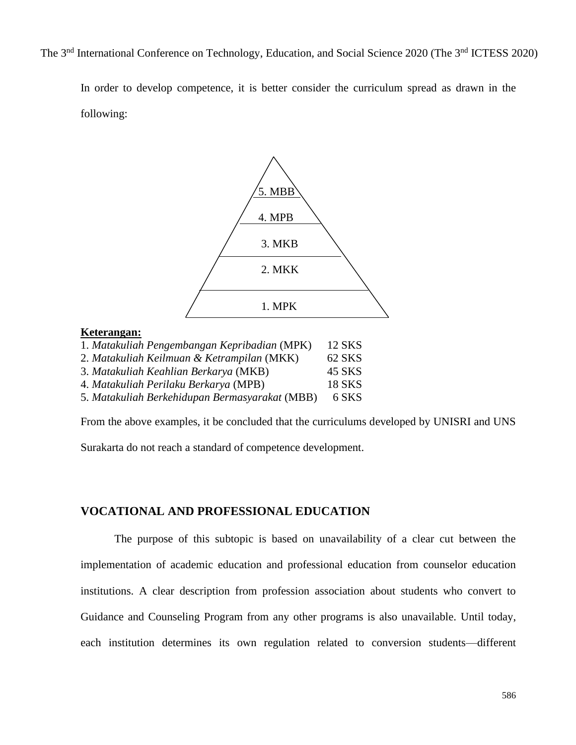In order to develop competence, it is better consider the curriculum spread as drawn in the following:



### 3. *Matakuliah Keahlian Berkarya* (MKB) 45 SKS 4. *Matakuliah Perilaku Berkarya* (MPB) 18 SKS

5. *Matakuliah Berkehidupan Bermasyarakat* (MBB) 6 SKS

From the above examples, it be concluded that the curriculums developed by UNISRI and UNS

Surakarta do not reach a standard of competence development.

# **VOCATIONAL AND PROFESSIONAL EDUCATION**

The purpose of this subtopic is based on unavailability of a clear cut between the implementation of academic education and professional education from counselor education institutions. A clear description from profession association about students who convert to Guidance and Counseling Program from any other programs is also unavailable. Until today, each institution determines its own regulation related to conversion students—different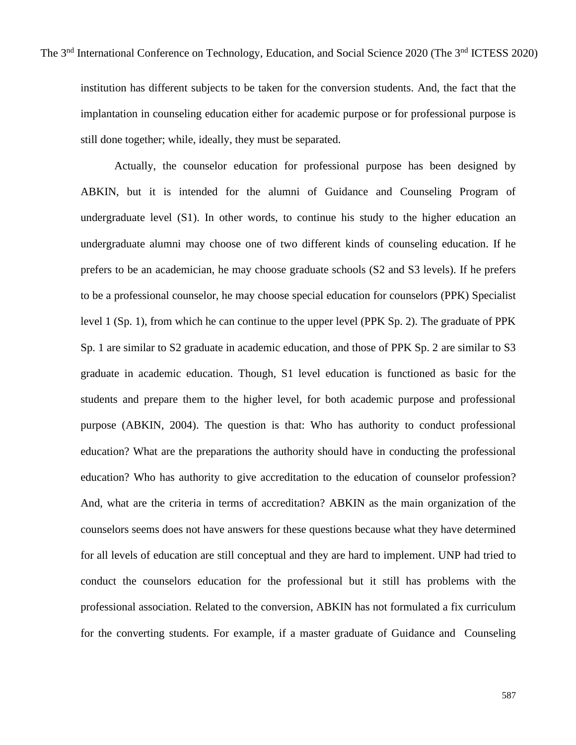institution has different subjects to be taken for the conversion students. And, the fact that the implantation in counseling education either for academic purpose or for professional purpose is still done together; while, ideally, they must be separated.

Actually, the counselor education for professional purpose has been designed by ABKIN, but it is intended for the alumni of Guidance and Counseling Program of undergraduate level (S1). In other words, to continue his study to the higher education an undergraduate alumni may choose one of two different kinds of counseling education. If he prefers to be an academician, he may choose graduate schools (S2 and S3 levels). If he prefers to be a professional counselor, he may choose special education for counselors (PPK) Specialist level 1 (Sp. 1), from which he can continue to the upper level (PPK Sp. 2). The graduate of PPK Sp. 1 are similar to S2 graduate in academic education, and those of PPK Sp. 2 are similar to S3 graduate in academic education. Though, S1 level education is functioned as basic for the students and prepare them to the higher level, for both academic purpose and professional purpose (ABKIN, 2004). The question is that: Who has authority to conduct professional education? What are the preparations the authority should have in conducting the professional education? Who has authority to give accreditation to the education of counselor profession? And, what are the criteria in terms of accreditation? ABKIN as the main organization of the counselors seems does not have answers for these questions because what they have determined for all levels of education are still conceptual and they are hard to implement. UNP had tried to conduct the counselors education for the professional but it still has problems with the professional association. Related to the conversion, ABKIN has not formulated a fix curriculum for the converting students. For example, if a master graduate of Guidance and Counseling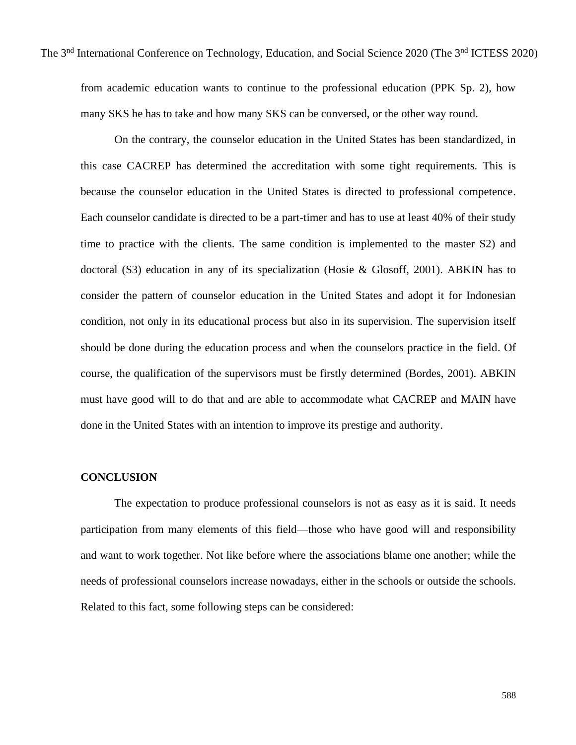from academic education wants to continue to the professional education (PPK Sp. 2), how many SKS he has to take and how many SKS can be conversed, or the other way round.

On the contrary, the counselor education in the United States has been standardized, in this case CACREP has determined the accreditation with some tight requirements. This is because the counselor education in the United States is directed to professional competence. Each counselor candidate is directed to be a part-timer and has to use at least 40% of their study time to practice with the clients. The same condition is implemented to the master S2) and doctoral (S3) education in any of its specialization (Hosie & Glosoff, 2001). ABKIN has to consider the pattern of counselor education in the United States and adopt it for Indonesian condition, not only in its educational process but also in its supervision. The supervision itself should be done during the education process and when the counselors practice in the field. Of course, the qualification of the supervisors must be firstly determined (Bordes, 2001). ABKIN must have good will to do that and are able to accommodate what CACREP and MAIN have done in the United States with an intention to improve its prestige and authority.

# **CONCLUSION**

The expectation to produce professional counselors is not as easy as it is said. It needs participation from many elements of this field—those who have good will and responsibility and want to work together. Not like before where the associations blame one another; while the needs of professional counselors increase nowadays, either in the schools or outside the schools. Related to this fact, some following steps can be considered: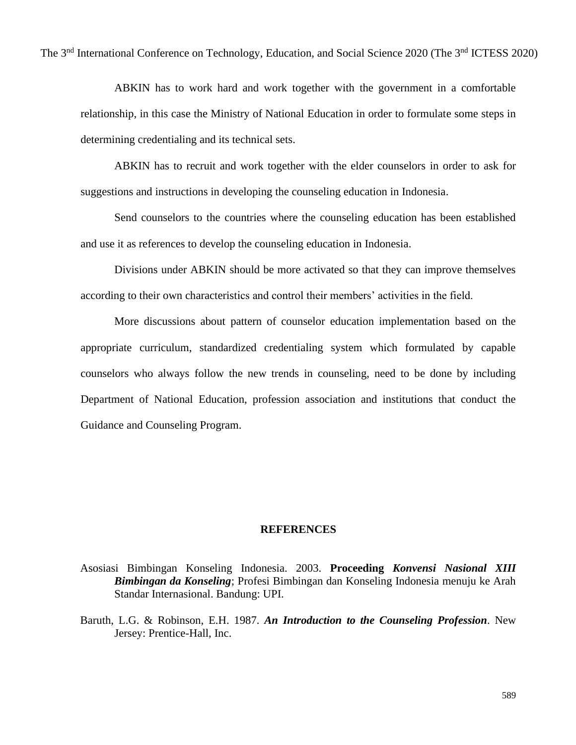ABKIN has to work hard and work together with the government in a comfortable relationship, in this case the Ministry of National Education in order to formulate some steps in determining credentialing and its technical sets.

ABKIN has to recruit and work together with the elder counselors in order to ask for suggestions and instructions in developing the counseling education in Indonesia.

Send counselors to the countries where the counseling education has been established and use it as references to develop the counseling education in Indonesia.

Divisions under ABKIN should be more activated so that they can improve themselves according to their own characteristics and control their members' activities in the field.

More discussions about pattern of counselor education implementation based on the appropriate curriculum, standardized credentialing system which formulated by capable counselors who always follow the new trends in counseling, need to be done by including Department of National Education, profession association and institutions that conduct the Guidance and Counseling Program.

### **REFERENCES**

- Asosiasi Bimbingan Konseling Indonesia. 2003. **Proceeding** *Konvensi Nasional XIII Bimbingan da Konseling*; Profesi Bimbingan dan Konseling Indonesia menuju ke Arah Standar Internasional. Bandung: UPI.
- Baruth, L.G. & Robinson, E.H. 1987. *An Introduction to the Counseling Profession*. New Jersey: Prentice-Hall, Inc.